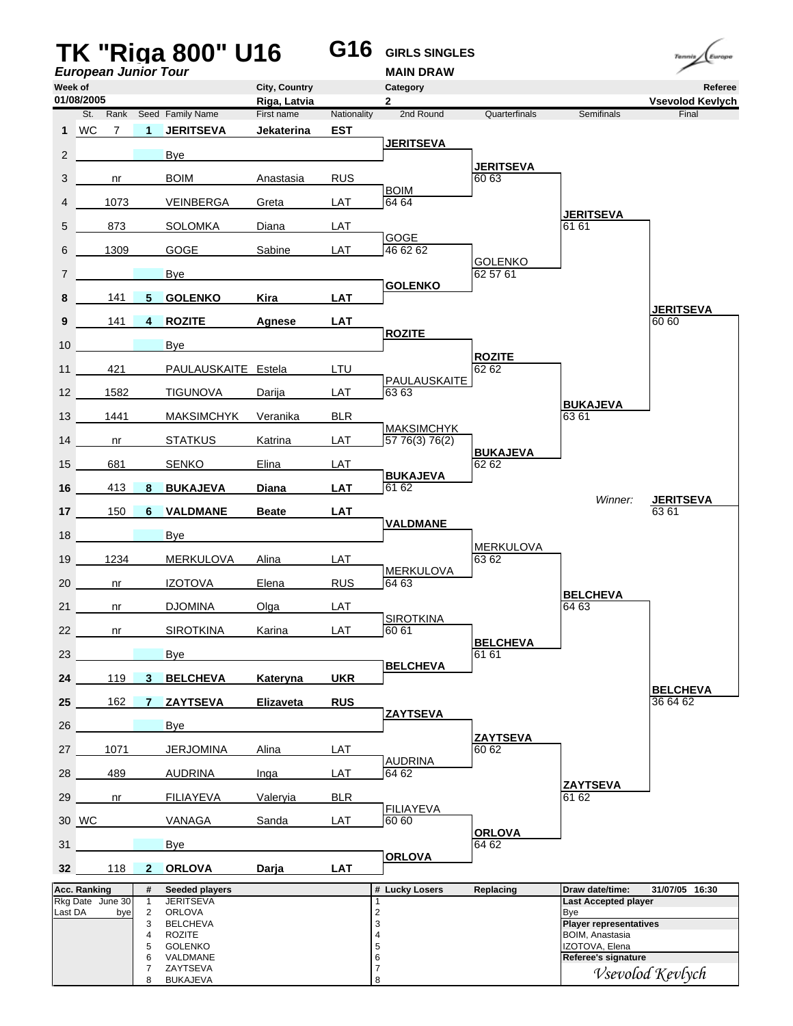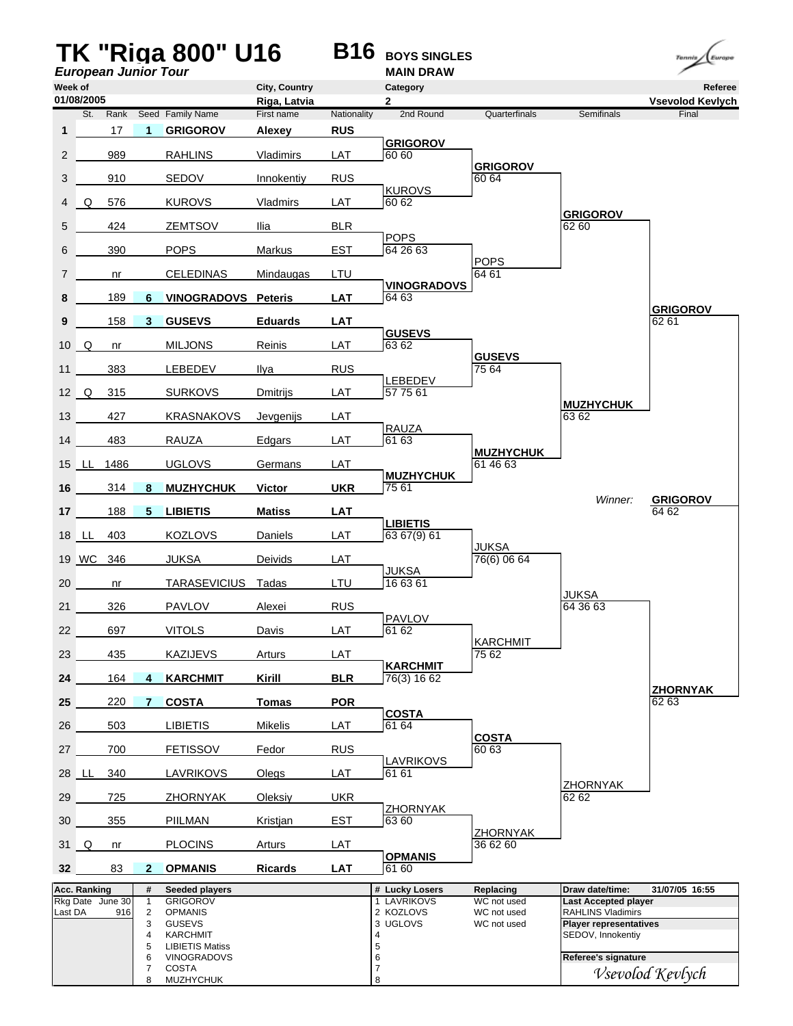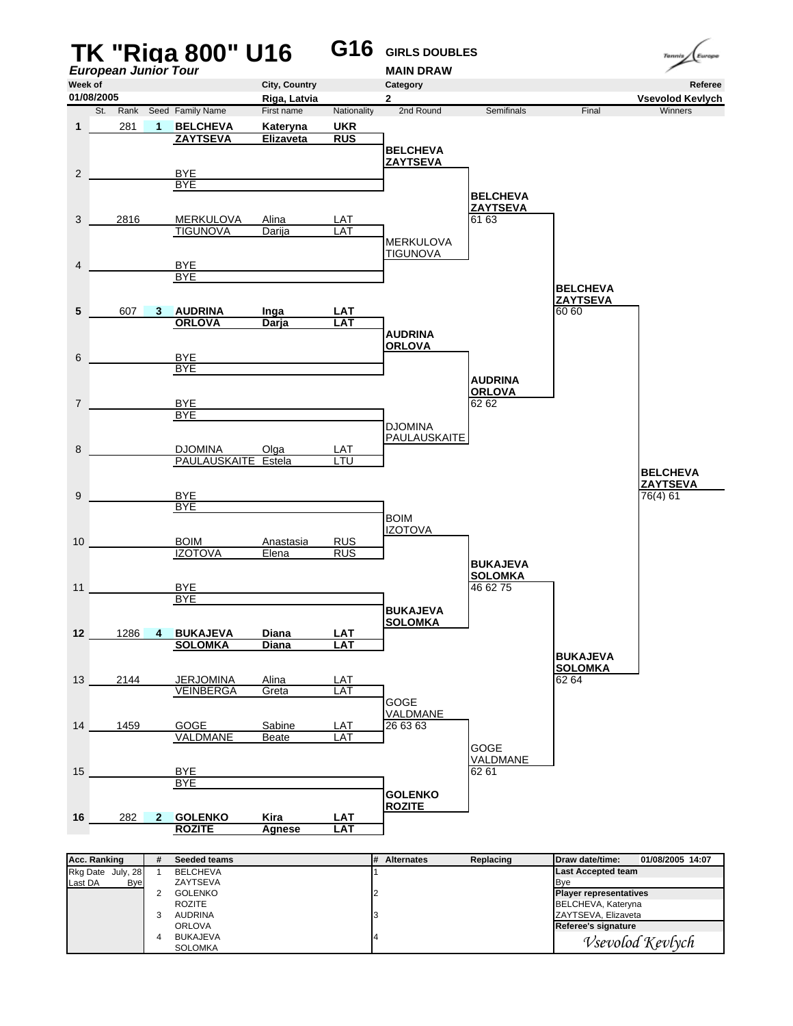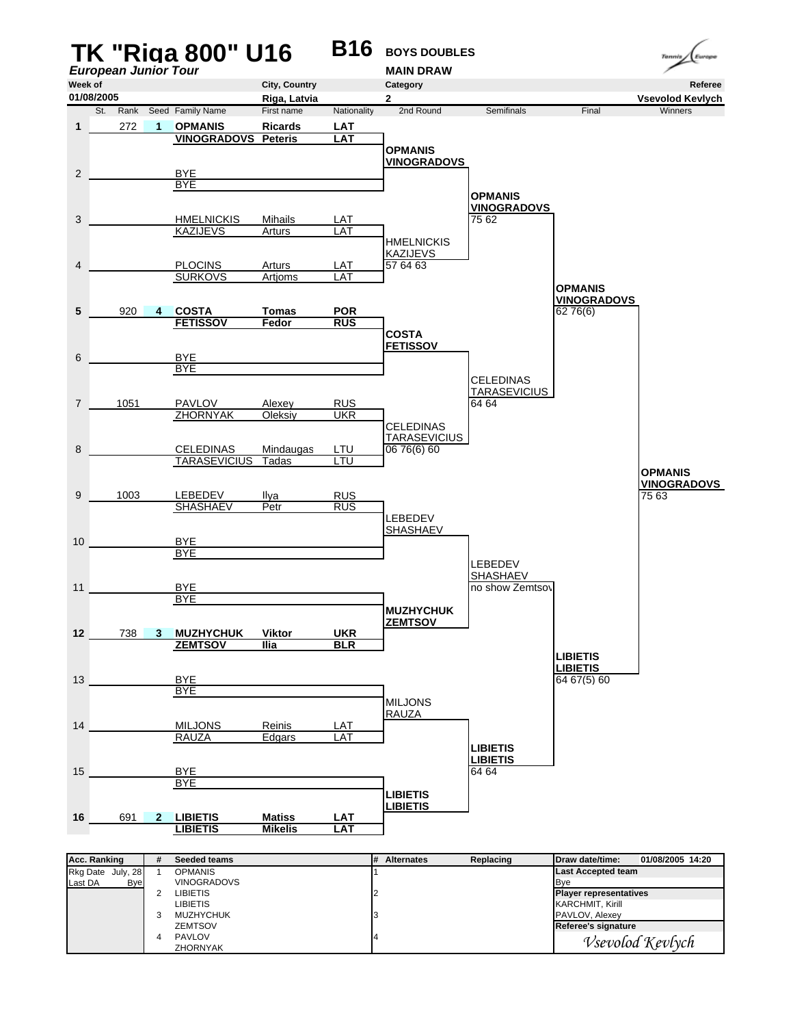